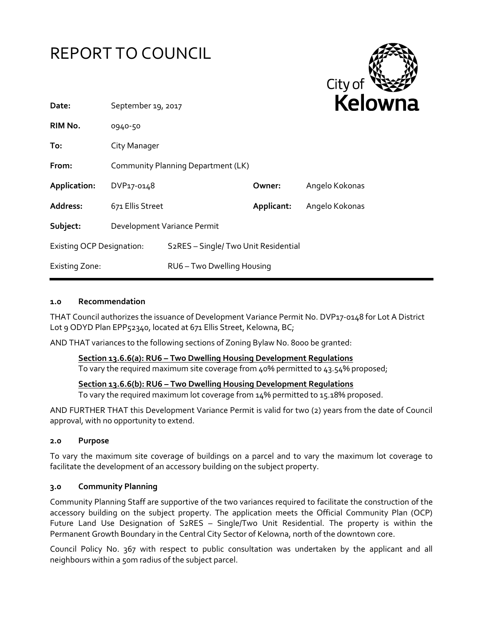



| Date:                            | September 19, 2017                 |                                                  |            | reio           |
|----------------------------------|------------------------------------|--------------------------------------------------|------------|----------------|
| RIM No.                          | 0940-50                            |                                                  |            |                |
| To:                              | City Manager                       |                                                  |            |                |
| From:                            | Community Planning Department (LK) |                                                  |            |                |
| Application:                     | DVP17-0148                         |                                                  | Owner:     | Angelo Kokonas |
| Address:                         | 671 Ellis Street                   |                                                  | Applicant: | Angelo Kokonas |
| Subject:                         | Development Variance Permit        |                                                  |            |                |
| <b>Existing OCP Designation:</b> |                                    | S <sub>2</sub> RES - Single/Two Unit Residential |            |                |
| <b>Existing Zone:</b>            |                                    | RU6 - Two Dwelling Housing                       |            |                |

### **1.0 Recommendation**

THAT Council authorizes the issuance of Development Variance Permit No. DVP17-0148 for Lot A District Lot 9 ODYD Plan EPP52340, located at 671 Ellis Street, Kelowna, BC;

AND THAT variances to the following sections of Zoning Bylaw No. 8000 be granted:

## **Section 13.6.6(a): RU6 – Two Dwelling Housing Development Regulations**

To vary the required maximum site coverage from 40% permitted to 43.54% proposed;

### **Section 13.6.6(b): RU6 – Two Dwelling Housing Development Regulations**

To vary the required maximum lot coverage from 14% permitted to 15.18% proposed.

AND FURTHER THAT this Development Variance Permit is valid for two (2) years from the date of Council approval, with no opportunity to extend.

### **2.0 Purpose**

To vary the maximum site coverage of buildings on a parcel and to vary the maximum lot coverage to facilitate the development of an accessory building on the subject property.

### **3.0 Community Planning**

Community Planning Staff are supportive of the two variances required to facilitate the construction of the accessory building on the subject property. The application meets the Official Community Plan (OCP) Future Land Use Designation of S2RES – Single/Two Unit Residential. The property is within the Permanent Growth Boundary in the Central City Sector of Kelowna, north of the downtown core.

Council Policy No. 367 with respect to public consultation was undertaken by the applicant and all neighbours within a 50m radius of the subject parcel.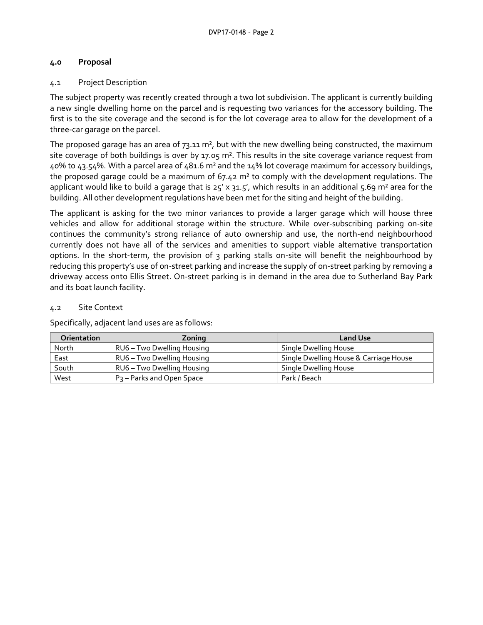## **4.0 Proposal**

## 4.1 Project Description

The subject property was recently created through a two lot subdivision. The applicant is currently building a new single dwelling home on the parcel and is requesting two variances for the accessory building. The first is to the site coverage and the second is for the lot coverage area to allow for the development of a three-car garage on the parcel.

The proposed garage has an area of  $73.11 \text{ m}^2$ , but with the new dwelling being constructed, the maximum site coverage of both buildings is over by 17.05 m². This results in the site coverage variance request from 40% to 43.54%. With a parcel area of 481.6 m² and the 14% lot coverage maximum for accessory buildings, the proposed garage could be a maximum of  $67.42 \text{ m}^2$  to comply with the development regulations. The applicant would like to build a garage that is  $25'$  x  $31.5'$ , which results in an additional 5.69 m<sup>2</sup> area for the building. All other development regulations have been met for the siting and height of the building.

The applicant is asking for the two minor variances to provide a larger garage which will house three vehicles and allow for additional storage within the structure. While over-subscribing parking on-site continues the community's strong reliance of auto ownership and use, the north-end neighbourhood currently does not have all of the services and amenities to support viable alternative transportation options. In the short-term, the provision of 3 parking stalls on-site will benefit the neighbourhood by reducing this property's use of on-street parking and increase the supply of on-street parking by removing a driveway access onto Ellis Street. On-street parking is in demand in the area due to Sutherland Bay Park and its boat launch facility.

## 4.2 Site Context

Specifically, adjacent land uses are as follows:

| <b>Orientation</b> | Zonina                       | <b>Land Use</b>                        |
|--------------------|------------------------------|----------------------------------------|
| North              | RU6 – Two Dwelling Housing   | Single Dwelling House                  |
| East               | RU6 - Two Dwelling Housing   | Single Dwelling House & Carriage House |
| South              | RU6 - Two Dwelling Housing   | Single Dwelling House                  |
| West               | $P_3$ – Parks and Open Space | Park / Beach                           |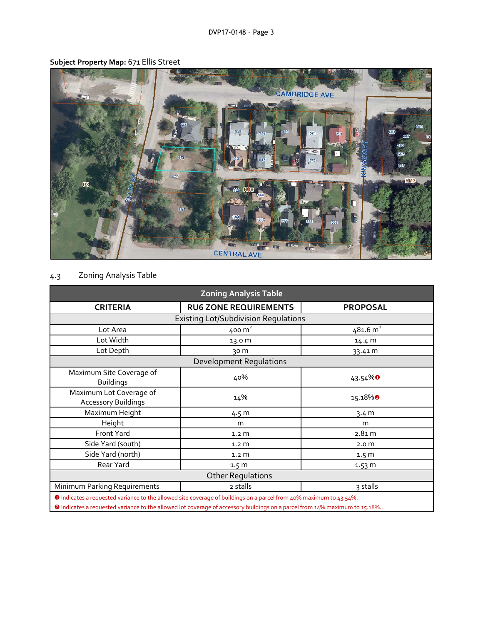

## **Subject Property Map:** 671 Ellis Street

# 4.3 Zoning Analysis Table

| <b>Zoning Analysis Table</b>                |                                                                                                                          |  |  |  |  |
|---------------------------------------------|--------------------------------------------------------------------------------------------------------------------------|--|--|--|--|
| <b>RU6 ZONE REQUIREMENTS</b>                | <b>PROPOSAL</b>                                                                                                          |  |  |  |  |
| <b>Existing Lot/Subdivision Regulations</b> |                                                                                                                          |  |  |  |  |
| 400 $m2$                                    | 481.6 m <sup>2</sup>                                                                                                     |  |  |  |  |
| 13.0 m                                      | 14.4 m                                                                                                                   |  |  |  |  |
| 30 m                                        | 33.41 m                                                                                                                  |  |  |  |  |
| <b>Development Requlations</b>              |                                                                                                                          |  |  |  |  |
| 40%                                         | $43.54\%$                                                                                                                |  |  |  |  |
| 14%                                         | 15.18%                                                                                                                   |  |  |  |  |
| 4.5 <sub>m</sub>                            | 3.4 m                                                                                                                    |  |  |  |  |
| m                                           | m                                                                                                                        |  |  |  |  |
| 1.2 <sub>m</sub>                            | 2.81 m                                                                                                                   |  |  |  |  |
| 1.2 <sub>m</sub>                            | 2.0 <sub>m</sub>                                                                                                         |  |  |  |  |
| 1.2 <sub>m</sub>                            | 1.5 <sub>m</sub>                                                                                                         |  |  |  |  |
| 1.5 <sub>m</sub>                            | 1.53 m                                                                                                                   |  |  |  |  |
| <b>Other Regulations</b>                    |                                                                                                                          |  |  |  |  |
| 2 stalls                                    | 3 stalls                                                                                                                 |  |  |  |  |
|                                             | $\bigwedge$ is decoded to consider the second state of the contract of the difference of the second function $\bigwedge$ |  |  |  |  |

Indicates a requested variance to the allowed site coverage of buildings on a parcel from 40% maximum to 43.54%.

<sup>2</sup> Indicates a requested variance to the allowed lot coverage of accessory buildings on a parcel from 14% maximum to 15.18%..